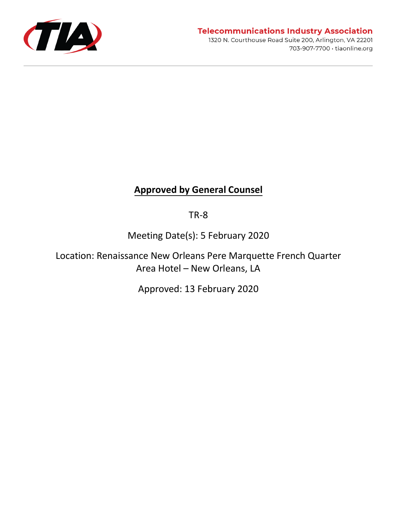

## **Telecommunications Industry Association**

1320 N. Courthouse Road Suite 200, Arlington, VA 22201 703-907-7700 · tiaonline.org

# **Approved by General Counsel**

TR-8

Meeting Date(s): 5 February 2020

Location: Renaissance New Orleans Pere Marquette French Quarter Area Hotel – New Orleans, LA

Approved: 13 February 2020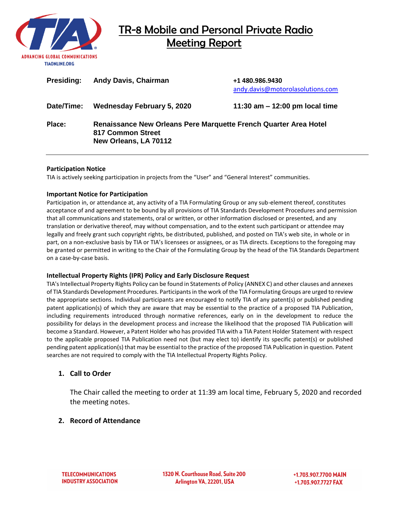

| <b>Presiding:</b> | <b>Andy Davis, Chairman</b>                                                                                    | +1 480.986.9430<br>andy.davis@motorolasolutions.com |
|-------------------|----------------------------------------------------------------------------------------------------------------|-----------------------------------------------------|
| Date/Time:        | <b>Wednesday February 5, 2020</b>                                                                              | 11:30 am $-$ 12:00 pm local time                    |
| Place:            | Renaissance New Orleans Pere Marquette French Quarter Area Hotel<br>817 Common Street<br>New Orleans, LA 70112 |                                                     |

#### **Participation Notice**

TIA is actively seeking participation in projects from the "User" and "General Interest" communities.

#### **Important Notice for Participation**

Participation in, or attendance at, any activity of a TIA Formulating Group or any sub-element thereof, constitutes acceptance of and agreement to be bound by all provisions of TIA Standards Development Procedures and permission that all communications and statements, oral or written, or other information disclosed or presented, and any translation or derivative thereof, may without compensation, and to the extent such participant or attendee may legally and freely grant such copyright rights, be distributed, published, and posted on TIA's web site, in whole or in part, on a non-exclusive basis by TIA or TIA's licensees or assignees, or as TIA directs. Exceptions to the foregoing may be granted or permitted in writing to the Chair of the Formulating Group by the head of the TIA Standards Department on a case-by-case basis.

#### **Intellectual Property Rights (IPR) Policy and Early Disclosure Request**

TIA's Intellectual Property Rights Policy can be found in Statements of Policy (ANNEX C) and other clauses and annexes of TIA Standards Development Procedures. Participants in the work of the TIA Formulating Groups are urged to review the appropriate sections. Individual participants are encouraged to notify TIA of any patent(s) or published pending patent application(s) of which they are aware that may be essential to the practice of a proposed TIA Publication, including requirements introduced through normative references, early on in the development to reduce the possibility for delays in the development process and increase the likelihood that the proposed TIA Publication will become a Standard. However, a Patent Holder who has provided TIA with a TIA Patent Holder Statement with respect to the applicable proposed TIA Publication need not (but may elect to) identify its specific patent(s) or published pending patent application(s) that may be essential to the practice of the proposed TIA Publication in question. Patent searches are not required to comply with the TIA Intellectual Property Rights Policy.

#### **1. Call to Order**

The Chair called the meeting to order at 11:39 am local time, February 5, 2020 and recorded the meeting notes.

#### **2. Record of Attendance**

1320 N. Courthouse Road, Suite 200 Arlington VA, 22201, USA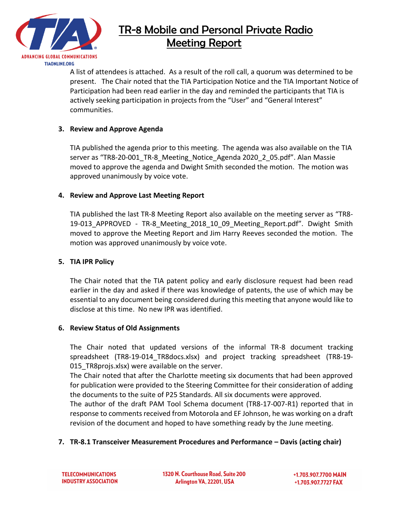

A list of attendees is attached. As a result of the roll call, a quorum was determined to be present. The Chair noted that the TIA Participation Notice and the TIA Important Notice of Participation had been read earlier in the day and reminded the participants that TIA is actively seeking participation in projects from the "User" and "General Interest" communities.

## **3. Review and Approve Agenda**

TIA published the agenda prior to this meeting. The agenda was also available on the TIA server as "TR8-20-001\_TR-8\_Meeting\_Notice\_Agenda 2020\_2\_05.pdf". Alan Massie moved to approve the agenda and Dwight Smith seconded the motion. The motion was approved unanimously by voice vote.

## **4. Review and Approve Last Meeting Report**

TIA published the last TR-8 Meeting Report also available on the meeting server as "TR8- 19-013 APPROVED - TR-8 Meeting 2018 10 09 Meeting Report.pdf". Dwight Smith moved to approve the Meeting Report and Jim Harry Reeves seconded the motion. The motion was approved unanimously by voice vote.

## **5. TIA IPR Policy**

The Chair noted that the TIA patent policy and early disclosure request had been read earlier in the day and asked if there was knowledge of patents, the use of which may be essential to any document being considered during this meeting that anyone would like to disclose at this time. No new IPR was identified.

## **6. Review Status of Old Assignments**

The Chair noted that updated versions of the informal TR-8 document tracking spreadsheet (TR8-19-014\_TR8docs.xlsx) and project tracking spreadsheet (TR8-19- 015 TR8projs.xlsx) were available on the server.

The Chair noted that after the Charlotte meeting six documents that had been approved for publication were provided to the Steering Committee for their consideration of adding the documents to the suite of P25 Standards. All six documents were approved.

The author of the draft PAM Tool Schema document (TR8-17-007-R1) reported that in response to comments received from Motorola and EF Johnson, he was working on a draft revision of the document and hoped to have something ready by the June meeting.

## **7. TR-8.1 Transceiver Measurement Procedures and Performance – Davis (acting chair)**

1320 N. Courthouse Road. Suite 200 Arlington VA, 22201, USA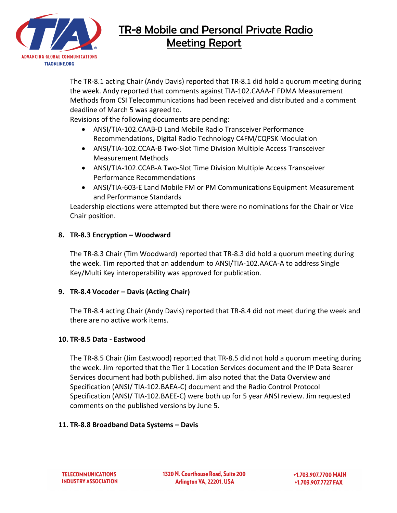

The TR-8.1 acting Chair (Andy Davis) reported that TR-8.1 did hold a quorum meeting during the week. Andy reported that comments against TIA-102.CAAA-F FDMA Measurement Methods from CSI Telecommunications had been received and distributed and a comment deadline of March 5 was agreed to.

Revisions of the following documents are pending:

- ANSI/TIA-102.CAAB-D Land Mobile Radio Transceiver Performance Recommendations, Digital Radio Technology C4FM/CQPSK Modulation
- ANSI/TIA-102.CCAA-B Two-Slot Time Division Multiple Access Transceiver Measurement Methods
- ANSI/TIA-102.CCAB-A Two-Slot Time Division Multiple Access Transceiver Performance Recommendations
- ANSI/TIA-603-E Land Mobile FM or PM Communications Equipment Measurement and Performance Standards

Leadership elections were attempted but there were no nominations for the Chair or Vice Chair position.

## **8. TR-8.3 Encryption – Woodward**

The TR-8.3 Chair (Tim Woodward) reported that TR-8.3 did hold a quorum meeting during the week. Tim reported that an addendum to ANSI/TIA-102.AACA-A to address Single Key/Multi Key interoperability was approved for publication.

## **9. TR-8.4 Vocoder – Davis (Acting Chair)**

The TR-8.4 acting Chair (Andy Davis) reported that TR-8.4 did not meet during the week and there are no active work items.

## **10. TR-8.5 Data - Eastwood**

The TR-8.5 Chair (Jim Eastwood) reported that TR-8.5 did not hold a quorum meeting during the week. Jim reported that the Tier 1 Location Services document and the IP Data Bearer Services document had both published. Jim also noted that the Data Overview and Specification (ANSI/ TIA-102.BAEA-C) document and the Radio Control Protocol Specification (ANSI/ TIA-102.BAEE-C) were both up for 5 year ANSI review. Jim requested comments on the published versions by June 5.

## **11. TR-8.8 Broadband Data Systems – Davis**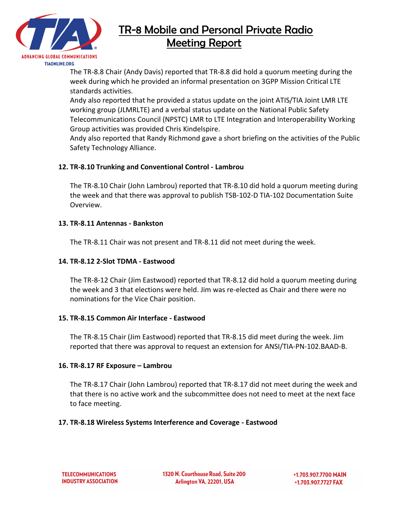

The TR-8.8 Chair (Andy Davis) reported that TR-8.8 did hold a quorum meeting during the week during which he provided an informal presentation on 3GPP Mission Critical LTE standards activities.

Andy also reported that he provided a status update on the joint ATIS/TIA Joint LMR LTE working group (JLMRLTE) and a verbal status update on the National Public Safety Telecommunications Council (NPSTC) LMR to LTE Integration and Interoperability Working Group activities was provided Chris Kindelspire.

Andy also reported that Randy Richmond gave a short briefing on the activities of the Public Safety Technology Alliance.

## **12. TR-8.10 Trunking and Conventional Control - Lambrou**

The TR-8.10 Chair (John Lambrou) reported that TR-8.10 did hold a quorum meeting during the week and that there was approval to publish TSB-102-D TIA-102 Documentation Suite Overview.

## **13. TR-8.11 Antennas - Bankston**

The TR-8.11 Chair was not present and TR-8.11 did not meet during the week.

## **14. TR-8.12 2-Slot TDMA - Eastwood**

The TR-8-12 Chair (Jim Eastwood) reported that TR-8.12 did hold a quorum meeting during the week and 3 that elections were held. Jim was re-elected as Chair and there were no nominations for the Vice Chair position.

### **15. TR-8.15 Common Air Interface - Eastwood**

The TR-8.15 Chair (Jim Eastwood) reported that TR-8.15 did meet during the week. Jim reported that there was approval to request an extension for ANSI/TIA-PN-102.BAAD-B.

### **16. TR-8.17 RF Exposure – Lambrou**

The TR-8.17 Chair (John Lambrou) reported that TR-8.17 did not meet during the week and that there is no active work and the subcommittee does not need to meet at the next face to face meeting.

### **17. TR-8.18 Wireless Systems Interference and Coverage - Eastwood**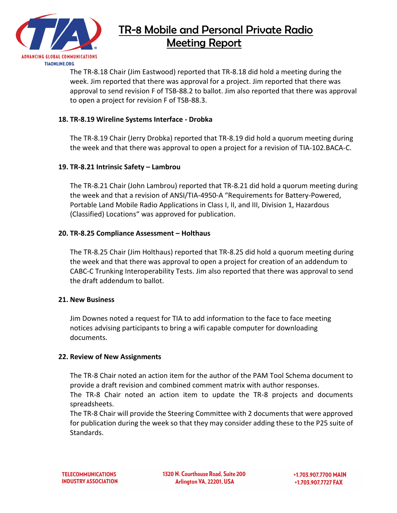

The TR-8.18 Chair (Jim Eastwood) reported that TR-8.18 did hold a meeting during the week. Jim reported that there was approval for a project. Jim reported that there was approval to send revision F of TSB-88.2 to ballot. Jim also reported that there was approval to open a project for revision F of TSB-88.3.

### **18. TR-8.19 Wireline Systems Interface - Drobka**

The TR-8.19 Chair (Jerry Drobka) reported that TR-8.19 did hold a quorum meeting during the week and that there was approval to open a project for a revision of TIA-102.BACA-C.

### **19. TR-8.21 Intrinsic Safety – Lambrou**

The TR-8.21 Chair (John Lambrou) reported that TR-8.21 did hold a quorum meeting during the week and that a revision of ANSI/TIA-4950-A "Requirements for Battery-Powered, Portable Land Mobile Radio Applications in Class I, II, and III, Division 1, Hazardous (Classified) Locations" was approved for publication.

### **20. TR-8.25 Compliance Assessment – Holthaus**

The TR-8.25 Chair (Jim Holthaus) reported that TR-8.25 did hold a quorum meeting during the week and that there was approval to open a project for creation of an addendum to CABC-C Trunking Interoperability Tests. Jim also reported that there was approval to send the draft addendum to ballot.

### **21. New Business**

Jim Downes noted a request for TIA to add information to the face to face meeting notices advising participants to bring a wifi capable computer for downloading documents.

### **22. Review of New Assignments**

The TR-8 Chair noted an action item for the author of the PAM Tool Schema document to provide a draft revision and combined comment matrix with author responses.

The TR-8 Chair noted an action item to update the TR-8 projects and documents spreadsheets.

The TR-8 Chair will provide the Steering Committee with 2 documents that were approved for publication during the week so that they may consider adding these to the P25 suite of Standards.

1320 N. Courthouse Road. Suite 200 Arlington VA, 22201, USA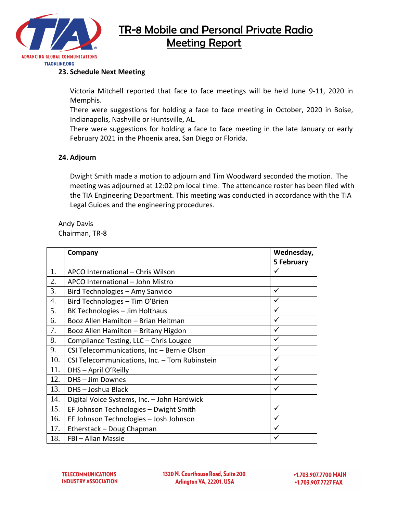

### **23. Schedule Next Meeting**

Victoria Mitchell reported that face to face meetings will be held June 9-11, 2020 in Memphis.

There were suggestions for holding a face to face meeting in October, 2020 in Boise, Indianapolis, Nashville or Huntsville, AL.

There were suggestions for holding a face to face meeting in the late January or early February 2021 in the Phoenix area, San Diego or Florida.

### **24. Adjourn**

Dwight Smith made a motion to adjourn and Tim Woodward seconded the motion. The meeting was adjourned at 12:02 pm local time. The attendance roster has been filed with the TIA Engineering Department. This meeting was conducted in accordance with the TIA Legal Guides and the engineering procedures.

Andy Davis Chairman, TR-8

|                  | Company                                       | Wednesday, |
|------------------|-----------------------------------------------|------------|
|                  |                                               | 5 February |
| 1.               | APCO International - Chris Wilson             | ✓          |
| 2.               | APCO International - John Mistro              |            |
| 3.               | Bird Technologies - Amy Sanvido               | ✓          |
| $\overline{4}$ . | Bird Technologies - Tim O'Brien               | ✓          |
| 5.               | BK Technologies - Jim Holthaus                | ✓          |
| 6.               | Booz Allen Hamilton - Brian Heitman           | ✓          |
| 7.               | Booz Allen Hamilton - Britany Higdon          | ✓          |
| 8.               | Compliance Testing, LLC - Chris Lougee        | ✓          |
| 9.               | CSI Telecommunications, Inc - Bernie Olson    | ✓          |
| 10.              | CSI Telecommunications, Inc. - Tom Rubinstein | ✓          |
| 11.              | DHS - April O'Reilly                          | ✓          |
| 12.              | DHS - Jim Downes                              | ✓          |
| 13.              | DHS-Joshua Black                              | ✓          |
| 14.              | Digital Voice Systems, Inc. - John Hardwick   |            |
| 15.              | EF Johnson Technologies - Dwight Smith        | ✓          |
| 16.              | EF Johnson Technologies - Josh Johnson        |            |
| 17.              | Etherstack - Doug Chapman                     |            |
| 18.              | FBI - Allan Massie                            |            |

1320 N. Courthouse Road, Suite 200 Arlington VA, 22201, USA